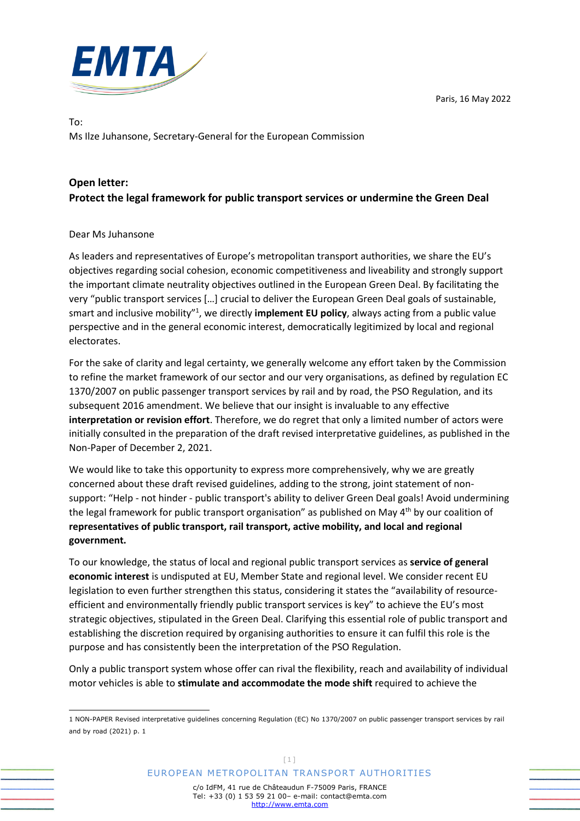Paris, 16 May 2022



To: Ms Ilze Juhansone, Secretary-General for the European Commission

## **Open letter: Protect the legal framework for public transport services or undermine the Green Deal**

## Dear Ms Juhansone

As leaders and representatives of Europe's metropolitan transport authorities, we share the EU's objectives regarding social cohesion, economic competitiveness and liveability and strongly support the important climate neutrality objectives outlined in the European Green Deal. By facilitating the very "public transport services […] crucial to deliver the European Green Deal goals of sustainable, smart and inclusive mobility"<sup>1</sup>, we directly **implement EU policy**, always acting from a public value perspective and in the general economic interest, democratically legitimized by local and regional electorates.

For the sake of clarity and legal certainty, we generally welcome any effort taken by the Commission to refine the market framework of our sector and our very organisations, as defined by regulation EC 1370/2007 on public passenger transport services by rail and by road, the PSO Regulation, and its subsequent 2016 amendment. We believe that our insight is invaluable to any effective **interpretation or revision effort**. Therefore, we do regret that only a limited number of actors were initially consulted in the preparation of the draft revised interpretative guidelines, as published in the Non-Paper of December 2, 2021.

We would like to take this opportunity to express more comprehensively, why we are greatly concerned about these draft revised guidelines, adding to the strong, joint statement of nonsupport: "Help - not hinder - public transport's ability to deliver Green Deal goals! Avoid undermining the legal framework for public transport organisation" as published on May 4<sup>th</sup> by our coalition of **representatives of public transport, rail transport, active mobility, and local and regional government.** 

To our knowledge, the status of local and regional public transport services as **service of general economic interest** is undisputed at EU, Member State and regional level. We consider recent EU legislation to even further strengthen this status, considering it states the "availability of resourceefficient and environmentally friendly public transport services is key" to achieve the EU's most strategic objectives, stipulated in the Green Deal. Clarifying this essential role of public transport and establishing the discretion required by organising authorities to ensure it can fulfil this role is the purpose and has consistently been the interpretation of the PSO Regulation.

Only a public transport system whose offer can rival the flexibility, reach and availability of individual motor vehicles is able to **stimulate and accommodate the mode shift** required to achieve the

<sup>1</sup> NON-PAPER Revised interpretative guidelines concerning Regulation (EC) No 1370/2007 on public passenger transport services by rail and by road (2021) p. 1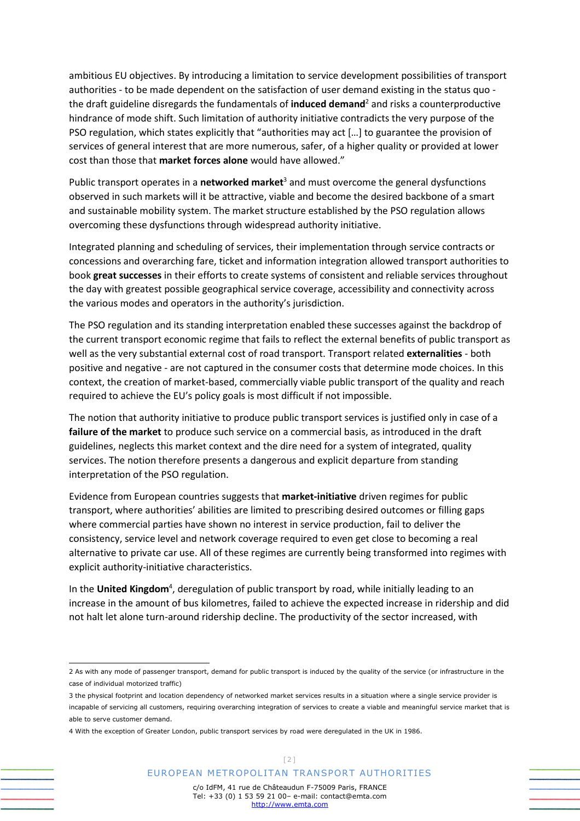ambitious EU objectives. By introducing a limitation to service development possibilities of transport authorities - to be made dependent on the satisfaction of user demand existing in the status quo the draft guideline disregards the fundamentals of **induced demand**<sup>2</sup> and risks a counterproductive hindrance of mode shift. Such limitation of authority initiative contradicts the very purpose of the PSO regulation, which states explicitly that "authorities may act […] to guarantee the provision of services of general interest that are more numerous, safer, of a higher quality or provided at lower cost than those that **market forces alone** would have allowed."

Public transport operates in a **networked market**<sup>3</sup> and must overcome the general dysfunctions observed in such markets will it be attractive, viable and become the desired backbone of a smart and sustainable mobility system. The market structure established by the PSO regulation allows overcoming these dysfunctions through widespread authority initiative.

Integrated planning and scheduling of services, their implementation through service contracts or concessions and overarching fare, ticket and information integration allowed transport authorities to book **great successes** in their efforts to create systems of consistent and reliable services throughout the day with greatest possible geographical service coverage, accessibility and connectivity across the various modes and operators in the authority's jurisdiction.

The PSO regulation and its standing interpretation enabled these successes against the backdrop of the current transport economic regime that fails to reflect the external benefits of public transport as well as the very substantial external cost of road transport. Transport related **externalities** - both positive and negative - are not captured in the consumer costs that determine mode choices. In this context, the creation of market-based, commercially viable public transport of the quality and reach required to achieve the EU's policy goals is most difficult if not impossible.

The notion that authority initiative to produce public transport services is justified only in case of a **failure of the market** to produce such service on a commercial basis, as introduced in the draft guidelines, neglects this market context and the dire need for a system of integrated, quality services. The notion therefore presents a dangerous and explicit departure from standing interpretation of the PSO regulation.

Evidence from European countries suggests that **market-initiative** driven regimes for public transport, where authorities' abilities are limited to prescribing desired outcomes or filling gaps where commercial parties have shown no interest in service production, fail to deliver the consistency, service level and network coverage required to even get close to becoming a real alternative to private car use. All of these regimes are currently being transformed into regimes with explicit authority-initiative characteristics.

In the United Kingdom<sup>4</sup>, deregulation of public transport by road, while initially leading to an increase in the amount of bus kilometres, failed to achieve the expected increase in ridership and did not halt let alone turn-around ridership decline. The productivity of the sector increased, with

<sup>2</sup> As with any mode of passenger transport, demand for public transport is induced by the quality of the service (or infrastructure in the case of individual motorized traffic)

<sup>3</sup> the physical footprint and location dependency of networked market services results in a situation where a single service provider is incapable of servicing all customers, requiring overarching integration of services to create a viable and meaningful service market that is able to serve customer demand.

<sup>4</sup> With the exception of Greater London, public transport services by road were deregulated in the UK in 1986.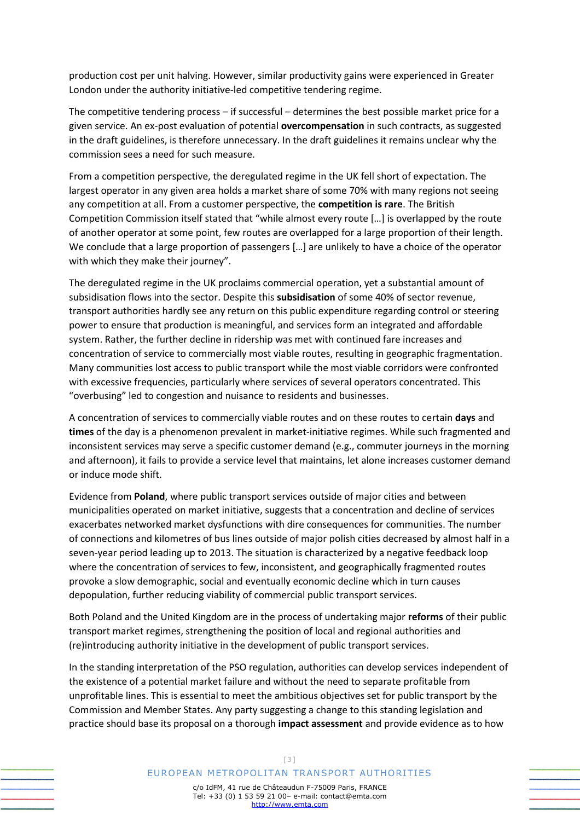production cost per unit halving. However, similar productivity gains were experienced in Greater London under the authority initiative-led competitive tendering regime.

The competitive tendering process – if successful – determines the best possible market price for a given service. An ex-post evaluation of potential **overcompensation** in such contracts, as suggested in the draft guidelines, is therefore unnecessary. In the draft guidelines it remains unclear why the commission sees a need for such measure.

From a competition perspective, the deregulated regime in the UK fell short of expectation. The largest operator in any given area holds a market share of some 70% with many regions not seeing any competition at all. From a customer perspective, the **competition is rare**. The British Competition Commission itself stated that "while almost every route […] is overlapped by the route of another operator at some point, few routes are overlapped for a large proportion of their length. We conclude that a large proportion of passengers […] are unlikely to have a choice of the operator with which they make their journey".

The deregulated regime in the UK proclaims commercial operation, yet a substantial amount of subsidisation flows into the sector. Despite this **subsidisation** of some 40% of sector revenue, transport authorities hardly see any return on this public expenditure regarding control or steering power to ensure that production is meaningful, and services form an integrated and affordable system. Rather, the further decline in ridership was met with continued fare increases and concentration of service to commercially most viable routes, resulting in geographic fragmentation. Many communities lost access to public transport while the most viable corridors were confronted with excessive frequencies, particularly where services of several operators concentrated. This "overbusing" led to congestion and nuisance to residents and businesses.

A concentration of services to commercially viable routes and on these routes to certain **days** and **times** of the day is a phenomenon prevalent in market-initiative regimes. While such fragmented and inconsistent services may serve a specific customer demand (e.g., commuter journeys in the morning and afternoon), it fails to provide a service level that maintains, let alone increases customer demand or induce mode shift.

Evidence from **Poland**, where public transport services outside of major cities and between municipalities operated on market initiative, suggests that a concentration and decline of services exacerbates networked market dysfunctions with dire consequences for communities. The number of connections and kilometres of bus lines outside of major polish cities decreased by almost half in a seven-year period leading up to 2013. The situation is characterized by a negative feedback loop where the concentration of services to few, inconsistent, and geographically fragmented routes provoke a slow demographic, social and eventually economic decline which in turn causes depopulation, further reducing viability of commercial public transport services.

Both Poland and the United Kingdom are in the process of undertaking major **reforms** of their public transport market regimes, strengthening the position of local and regional authorities and (re)introducing authority initiative in the development of public transport services.

In the standing interpretation of the PSO regulation, authorities can develop services independent of the existence of a potential market failure and without the need to separate profitable from unprofitable lines. This is essential to meet the ambitious objectives set for public transport by the Commission and Member States. Any party suggesting a change to this standing legislation and practice should base its proposal on a thorough **impact assessment** and provide evidence as to how

## EUROPEAN METROPOLITAN TRANSPORT AUTHORITIES